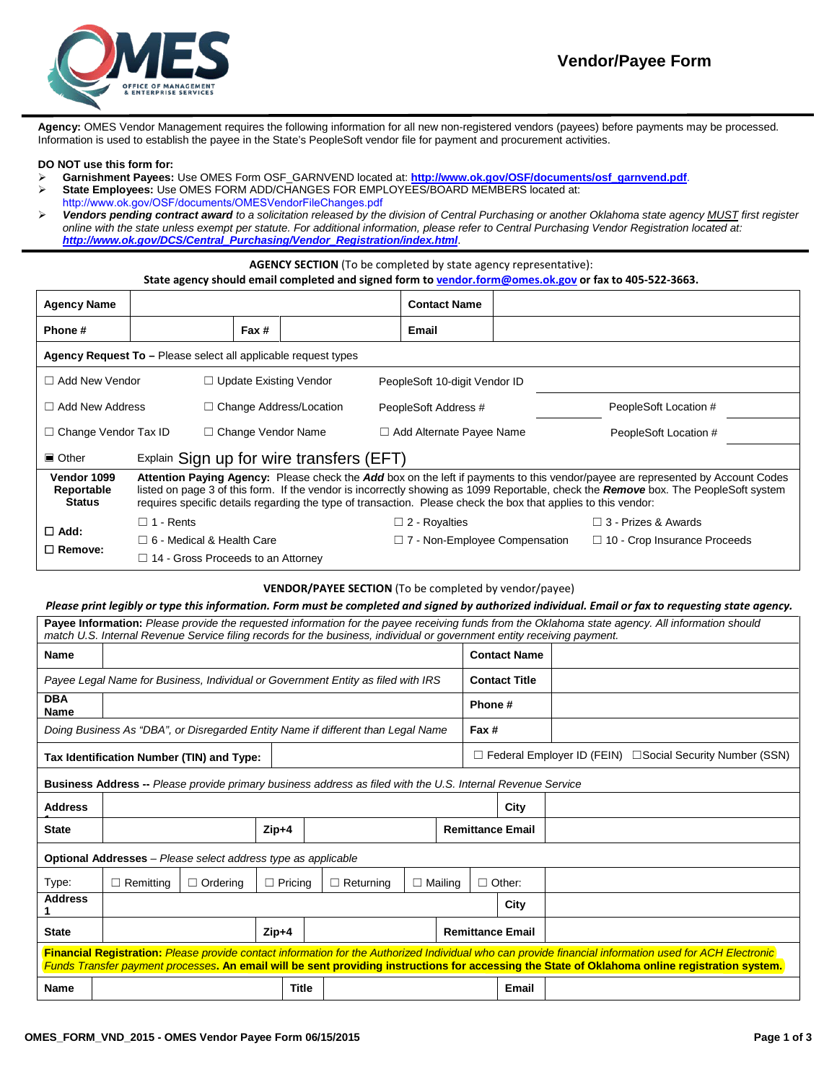

**Agency:** OMES Vendor Management requires the following information for all new non-registered vendors (payees) before payments may be processed. Information is used to establish the payee in the State's PeopleSoft vendor file for payment and procurement activities.

#### **DO NOT use this form for:**

- **Garnishment Payees:** Use OMES Form OSF\_GARNVEND located at: **[http://www.ok.gov/OSF/documents/osf\\_garnvend.pdf](http://www.ok.gov/OSF/documents/osf_garnvend.pdf)**.
- **State Employees:** Use OMES FORM ADD/CHANGES FOR EMPLOYEES/BOARD MEMBERS located at:
- [http://www.ok.gov/OSF/documents/OMESVendorFileChanges.pdf](http://www.ok.gov/OSF/documents/ap_emp_vend.pdf) *Vendors pending contract award to a solicitation released by the division of Central Purchasing or another Oklahoma state agency MUST first register online with the state unless exempt per statute. For additional information, please refer to Central Purchasing Vendor Registration located at: [http://www.ok.gov/DCS/Central\\_Purchasing/Vendor\\_Registration/index.html](http://www.ok.gov/DCS/Central_Purchasing/Vendor_Registration/index.html)*.

## **AGENCY SECTION** (To be completed by state agency representative):

### **State agency should email completed and signed form t[o vendor.form@omes.ok.gov](mailto:vendor.form@omes.ok.gov) or fax to 405-522-3663.**

| <b>Agency Name</b>                                               |                                                                                                                                                                                                                                                                                                                                                                                          |                               |                                | <b>Contact Name</b>                  |  |                                     |  |  |
|------------------------------------------------------------------|------------------------------------------------------------------------------------------------------------------------------------------------------------------------------------------------------------------------------------------------------------------------------------------------------------------------------------------------------------------------------------------|-------------------------------|--------------------------------|--------------------------------------|--|-------------------------------------|--|--|
| Phone#                                                           |                                                                                                                                                                                                                                                                                                                                                                                          | Fax #                         |                                | Email                                |  |                                     |  |  |
| Agency Request To - Please select all applicable request types   |                                                                                                                                                                                                                                                                                                                                                                                          |                               |                                |                                      |  |                                     |  |  |
| $\Box$ Add New Vendor                                            |                                                                                                                                                                                                                                                                                                                                                                                          | $\Box$ Update Existing Vendor |                                | PeopleSoft 10-digit Vendor ID        |  |                                     |  |  |
| $\Box$ Add New Address                                           |                                                                                                                                                                                                                                                                                                                                                                                          |                               | $\Box$ Change Address/Location | PeopleSoft Address #                 |  | PeopleSoft Location #               |  |  |
| $\Box$ Change Vendor Tax ID                                      |                                                                                                                                                                                                                                                                                                                                                                                          |                               | $\Box$ Change Vendor Name      | $\Box$ Add Alternate Payee Name      |  | PeopleSoft Location #               |  |  |
| Explain Sign up for wire transfers (EFT)<br>$\blacksquare$ Other |                                                                                                                                                                                                                                                                                                                                                                                          |                               |                                |                                      |  |                                     |  |  |
| Vendor 1099<br>Reportable<br><b>Status</b>                       | Attention Paying Agency: Please check the Add box on the left if payments to this vendor/payee are represented by Account Codes<br>listed on page 3 of this form. If the vendor is incorrectly showing as 1099 Reportable, check the Remove box. The PeopleSoft system<br>requires specific details regarding the type of transaction. Please check the box that applies to this vendor: |                               |                                |                                      |  |                                     |  |  |
| $\Box$ Add:<br>$\Box$ Remove:                                    | $\Box$ 1 - Rents                                                                                                                                                                                                                                                                                                                                                                         |                               |                                | $\Box$ 2 - Royalties                 |  | $\Box$ 3 - Prizes & Awards          |  |  |
|                                                                  | $\Box$ 6 - Medical & Health Care                                                                                                                                                                                                                                                                                                                                                         |                               |                                | $\Box$ 7 - Non-Employee Compensation |  | $\Box$ 10 - Crop Insurance Proceeds |  |  |
|                                                                  | $\Box$ 14 - Gross Proceeds to an Attorney                                                                                                                                                                                                                                                                                                                                                |                               |                                |                                      |  |                                     |  |  |

# **VENDOR/PAYEE SECTION** (To be completed by vendor/payee)

### *Please print legibly or type this information. Form must be completed and signed by authorized individual. Email or fax to requesting state agency.*

| Payee Information: Please provide the requested information for the payee receiving funds from the Oklahoma state agency. All information should<br>match U.S. Internal Revenue Service filing records for the business, individual or government entity receiving payment.                              |                                                                                  |                 |                |                  |                         |  |                                                             |                      |  |
|----------------------------------------------------------------------------------------------------------------------------------------------------------------------------------------------------------------------------------------------------------------------------------------------------------|----------------------------------------------------------------------------------|-----------------|----------------|------------------|-------------------------|--|-------------------------------------------------------------|----------------------|--|
| <b>Name</b>                                                                                                                                                                                                                                                                                              |                                                                                  |                 |                |                  |                         |  |                                                             | <b>Contact Name</b>  |  |
|                                                                                                                                                                                                                                                                                                          | Payee Legal Name for Business, Individual or Government Entity as filed with IRS |                 |                |                  |                         |  |                                                             | <b>Contact Title</b> |  |
| <b>DBA</b><br><b>Name</b>                                                                                                                                                                                                                                                                                |                                                                                  |                 |                |                  |                         |  |                                                             |                      |  |
| Doing Business As "DBA", or Disregarded Entity Name if different than Legal Name<br>Fax #                                                                                                                                                                                                                |                                                                                  |                 |                |                  |                         |  |                                                             |                      |  |
|                                                                                                                                                                                                                                                                                                          | Tax Identification Number (TIN) and Type:                                        |                 |                |                  |                         |  | □ Federal Employer ID (FEIN) □ Social Security Number (SSN) |                      |  |
| Business Address -- Please provide primary business address as filed with the U.S. Internal Revenue Service                                                                                                                                                                                              |                                                                                  |                 |                |                  |                         |  |                                                             |                      |  |
| <b>Address</b>                                                                                                                                                                                                                                                                                           | City                                                                             |                 |                |                  |                         |  |                                                             |                      |  |
| <b>State</b>                                                                                                                                                                                                                                                                                             | $Zip+4$                                                                          |                 |                |                  | <b>Remittance Email</b> |  |                                                             |                      |  |
| <b>Optional Addresses</b> – Please select address type as applicable                                                                                                                                                                                                                                     |                                                                                  |                 |                |                  |                         |  |                                                             |                      |  |
| Type:                                                                                                                                                                                                                                                                                                    | $\Box$ Remitting                                                                 | $\Box$ Ordering | $\Box$ Pricing | $\Box$ Returning | $\Box$ Mailing          |  |                                                             | $\Box$ Other:        |  |
| <b>Address</b>                                                                                                                                                                                                                                                                                           | City                                                                             |                 |                |                  |                         |  |                                                             |                      |  |
| <b>State</b>                                                                                                                                                                                                                                                                                             |                                                                                  |                 | $Zip+4$        |                  |                         |  | <b>Remittance Email</b>                                     |                      |  |
| Financial Registration: Please provide contact information for the Authorized Individual who can provide financial information used for ACH Electronic<br>Funds Transfer payment processes. An email will be sent providing instructions for accessing the State of Oklahoma online registration system. |                                                                                  |                 |                |                  |                         |  |                                                             |                      |  |
| <b>Name</b>                                                                                                                                                                                                                                                                                              |                                                                                  |                 | <b>Title</b>   |                  |                         |  |                                                             | Email                |  |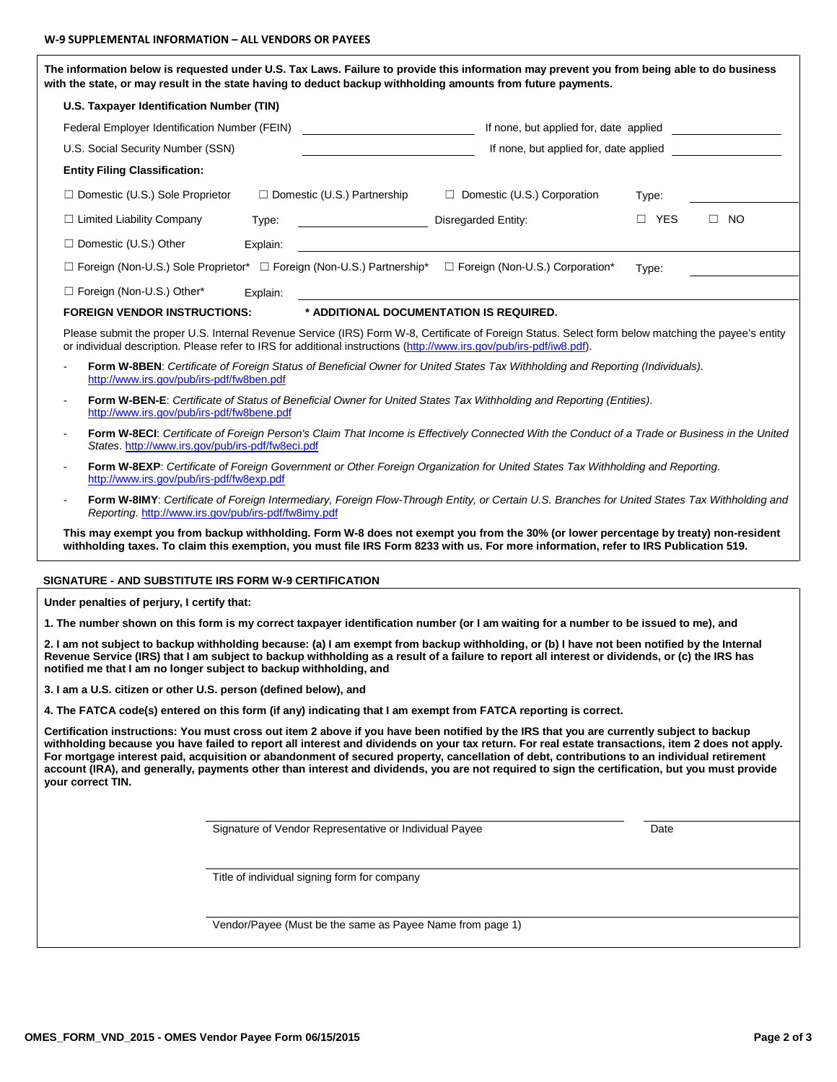|                                                                    |          |                                                                                   | The information below is requested under U.S. Tax Laws. Failure to provide this information may prevent you from being able to do business                                                                                                                                                                                                                                                                                                                                                                                                                                                      |            |           |
|--------------------------------------------------------------------|----------|-----------------------------------------------------------------------------------|-------------------------------------------------------------------------------------------------------------------------------------------------------------------------------------------------------------------------------------------------------------------------------------------------------------------------------------------------------------------------------------------------------------------------------------------------------------------------------------------------------------------------------------------------------------------------------------------------|------------|-----------|
|                                                                    |          |                                                                                   | with the state, or may result in the state having to deduct backup withholding amounts from future payments.                                                                                                                                                                                                                                                                                                                                                                                                                                                                                    |            |           |
| U.S. Taxpayer Identification Number (TIN)                          |          |                                                                                   |                                                                                                                                                                                                                                                                                                                                                                                                                                                                                                                                                                                                 |            |           |
| Federal Employer Identification Number (FEIN)                      |          |                                                                                   | If none, but applied for, date applied                                                                                                                                                                                                                                                                                                                                                                                                                                                                                                                                                          |            |           |
| U.S. Social Security Number (SSN)                                  |          |                                                                                   | If none, but applied for, date applied                                                                                                                                                                                                                                                                                                                                                                                                                                                                                                                                                          |            |           |
| <b>Entity Filing Classification:</b>                               |          |                                                                                   |                                                                                                                                                                                                                                                                                                                                                                                                                                                                                                                                                                                                 |            |           |
| $\Box$ Domestic (U.S.) Sole Proprietor                             |          | $\Box$ Domestic (U.S.) Partnership                                                | Domestic (U.S.) Corporation                                                                                                                                                                                                                                                                                                                                                                                                                                                                                                                                                                     | Type:      |           |
| $\Box$ Limited Liability Company                                   | Type:    |                                                                                   | <b>Disregarded Entity:</b>                                                                                                                                                                                                                                                                                                                                                                                                                                                                                                                                                                      | $\Box$ YES | $\Box$ NO |
| $\Box$ Domestic (U.S.) Other                                       | Explain: |                                                                                   |                                                                                                                                                                                                                                                                                                                                                                                                                                                                                                                                                                                                 |            |           |
|                                                                    |          | $\Box$ Foreign (Non-U.S.) Sole Proprietor* $\Box$ Foreign (Non-U.S.) Partnership* | □ Foreign (Non-U.S.) Corporation*                                                                                                                                                                                                                                                                                                                                                                                                                                                                                                                                                               | Type:      |           |
| □ Foreign (Non-U.S.) Other*                                        | Explain: |                                                                                   |                                                                                                                                                                                                                                                                                                                                                                                                                                                                                                                                                                                                 |            |           |
| <b>FOREIGN VENDOR INSTRUCTIONS:</b>                                |          |                                                                                   | * ADDITIONAL DOCUMENTATION IS REQUIRED.                                                                                                                                                                                                                                                                                                                                                                                                                                                                                                                                                         |            |           |
|                                                                    |          |                                                                                   | Please submit the proper U.S. Internal Revenue Service (IRS) Form W-8, Certificate of Foreign Status. Select form below matching the payee's entity<br>or individual description. Please refer to IRS for additional instructions (http://www.irs.gov/pub/irs-pdf/iw8.pdf).                                                                                                                                                                                                                                                                                                                     |            |           |
| http://www.irs.gov/pub/irs-pdf/fw8ben.pdf                          |          |                                                                                   | Form W-8BEN: Certificate of Foreign Status of Beneficial Owner for United States Tax Withholding and Reporting (Individuals).                                                                                                                                                                                                                                                                                                                                                                                                                                                                   |            |           |
| http://www.irs.gov/pub/irs-pdf/fw8bene.pdf                         |          |                                                                                   | Form W-BEN-E: Certificate of Status of Beneficial Owner for United States Tax Withholding and Reporting (Entities).                                                                                                                                                                                                                                                                                                                                                                                                                                                                             |            |           |
| States. http://www.irs.gov/pub/irs-pdf/fw8eci.pdf                  |          |                                                                                   | Form W-8ECI: Certificate of Foreign Person's Claim That Income is Effectively Connected With the Conduct of a Trade or Business in the United                                                                                                                                                                                                                                                                                                                                                                                                                                                   |            |           |
| http://www.irs.gov/pub/irs-pdf/fw8exp.pdf                          |          |                                                                                   | Form W-8EXP: Certificate of Foreign Government or Other Foreign Organization for United States Tax Withholding and Reporting.                                                                                                                                                                                                                                                                                                                                                                                                                                                                   |            |           |
| Reporting. http://www.irs.gov/pub/irs-pdf/fw8imy.pdf               |          |                                                                                   | Form W-8IMY: Certificate of Foreign Intermediary, Foreign Flow-Through Entity, or Certain U.S. Branches for United States Tax Withholding and                                                                                                                                                                                                                                                                                                                                                                                                                                                   |            |           |
|                                                                    |          |                                                                                   | This may exempt you from backup withholding. Form W-8 does not exempt you from the 30% (or lower percentage by treaty) non-resident<br>withholding taxes. To claim this exemption, you must file IRS Form 8233 with us. For more information, refer to IRS Publication 519.                                                                                                                                                                                                                                                                                                                     |            |           |
| SIGNATURE - AND SUBSTITUTE IRS FORM W-9 CERTIFICATION              |          |                                                                                   |                                                                                                                                                                                                                                                                                                                                                                                                                                                                                                                                                                                                 |            |           |
| Under penalties of perjury, I certify that:                        |          |                                                                                   |                                                                                                                                                                                                                                                                                                                                                                                                                                                                                                                                                                                                 |            |           |
|                                                                    |          |                                                                                   | 1. The number shown on this form is my correct taxpayer identification number (or I am waiting for a number to be issued to me), and                                                                                                                                                                                                                                                                                                                                                                                                                                                            |            |           |
| notified me that I am no longer subject to backup withholding, and |          |                                                                                   | 2. I am not subject to backup withholding because: (a) I am exempt from backup withholding, or (b) I have not been notified by the Internal<br>Revenue Service (IRS) that I am subject to backup withholding as a result of a failure to report all interest or dividends, or (c) the IRS has                                                                                                                                                                                                                                                                                                   |            |           |
| 3. I am a U.S. citizen or other U.S. person (defined below), and   |          |                                                                                   |                                                                                                                                                                                                                                                                                                                                                                                                                                                                                                                                                                                                 |            |           |
|                                                                    |          |                                                                                   | 4. The FATCA code(s) entered on this form (if any) indicating that I am exempt from FATCA reporting is correct.                                                                                                                                                                                                                                                                                                                                                                                                                                                                                 |            |           |
| your correct TIN.                                                  |          |                                                                                   | Certification instructions: You must cross out item 2 above if you have been notified by the IRS that you are currently subject to backup<br>withholding because you have failed to report all interest and dividends on your tax return. For real estate transactions, item 2 does not apply.<br>For mortgage interest paid, acquisition or abandonment of secured property, cancellation of debt, contributions to an individual retirement<br>account (IRA), and generally, payments other than interest and dividends, you are not required to sign the certification, but you must provide |            |           |
|                                                                    |          | Signature of Vendor Representative or Individual Payee                            |                                                                                                                                                                                                                                                                                                                                                                                                                                                                                                                                                                                                 | Date       |           |
|                                                                    |          | Title of individual signing form for company                                      |                                                                                                                                                                                                                                                                                                                                                                                                                                                                                                                                                                                                 |            |           |
|                                                                    |          |                                                                                   |                                                                                                                                                                                                                                                                                                                                                                                                                                                                                                                                                                                                 |            |           |
|                                                                    |          | Vendor/Payee (Must be the same as Payee Name from page 1)                         |                                                                                                                                                                                                                                                                                                                                                                                                                                                                                                                                                                                                 |            |           |